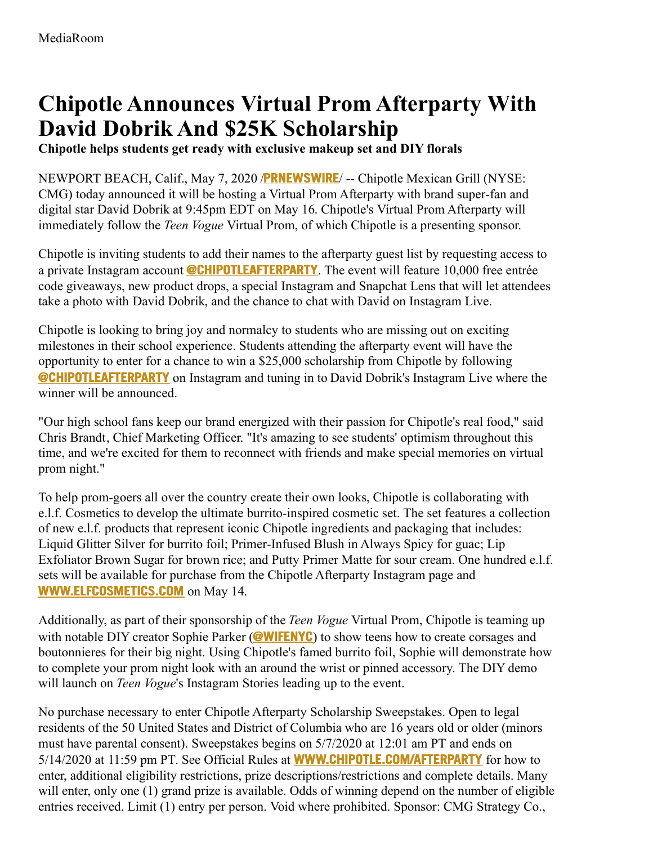## **Chipotle Announces Virtual Prom Afterparty With David Dobrik And \$25K Scholarship**

**Chipotle helps students get ready with exclusive makeup set and DIY florals**

NEWPORT BEACH, Calif., May 7, 2020 /**[PRNEWSWIRE](http://www.prnewswire.com/)**/ -- Chipotle Mexican Grill (NYSE: CMG) today announced it will be hosting a Virtual Prom Afterparty with brand super-fan and digital star David Dobrik at 9:45pm EDT on May 16. Chipotle's Virtual Prom Afterparty will immediately follow the *Teen Vogue* Virtual Prom, of which Chipotle is a presenting sponsor.

Chipotle is inviting students to add their names to the afterparty guest list by requesting access to a private Instagram account **[@CHIPOTLEAFTERPARTY](https://c212.net/c/link/?t=0&l=en&o=2797546-1&h=2541729732&u=https%3A%2F%2Fwww.instagram.com%2Fchipotleafterparty%2F&a=%40ChipotleAfterParty)**. The event will feature 10,000 free entrée code giveaways, new product drops, a special Instagram and Snapchat Lens that will let attendees take a photo with David Dobrik, and the chance to chat with David on Instagram Live.

Chipotle is looking to bring joy and normalcy to students who are missing out on exciting milestones in their school experience. Students attending the afterparty event will have the opportunity to enter for a chance to win a \$25,000 scholarship from Chipotle by following **[@CHIPOTLEAFTERPARTY](https://c212.net/c/link/?t=0&l=en&o=2797546-1&h=2541729732&u=https%3A%2F%2Fwww.instagram.com%2Fchipotleafterparty%2F&a=%40ChipotleAfterParty)** on Instagram and tuning in to David Dobrik's Instagram Live where the winner will be announced.

"Our high school fans keep our brand energized with their passion for Chipotle's real food," said Chris Brandt, Chief Marketing Officer. "It's amazing to see students' optimism throughout this time, and we're excited for them to reconnect with friends and make special memories on virtual prom night."

To help prom-goers all over the country create their own looks, Chipotle is collaborating with e.l.f. Cosmetics to develop the ultimate burrito-inspired cosmetic set. The set features a collection of new e.l.f. products that represent iconic Chipotle ingredients and packaging that includes: Liquid Glitter Silver for burrito foil; Primer-Infused Blush in Always Spicy for guac; Lip Exfoliator Brown Sugar for brown rice; and Putty Primer Matte for sour cream. One hundred e.l.f. sets will be available for purchase from the Chipotle Afterparty Instagram page and **[WWW.ELFCOSMETICS.COM](https://c212.net/c/link/?t=0&l=en&o=2797546-1&h=3892841920&u=http%3A%2F%2Fwww.elfcosmetics.com%2F&a=www.elfcosmetics.com)** on May 14.

Additionally, as part of their sponsorship of the *Teen Vogue* Virtual Prom, Chipotle is teaming up with notable DIY creator Sophie Parker (**[@WIFENYC](https://c212.net/c/link/?t=0&l=en&o=2797546-1&h=1073697427&u=https%3A%2F%2Fwww.instagram.com%2Fwifenyc%2F&a=%40wifenyc)**) to show teens how to create corsages and boutonnieres for their big night. Using Chipotle's famed burrito foil, Sophie will demonstrate how to complete your prom night look with an around the wrist or pinned accessory. The DIY demo will launch on *Teen Vogue*'s Instagram Stories leading up to the event.

No purchase necessary to enter Chipotle Afterparty Scholarship Sweepstakes. Open to legal residents of the 50 United States and District of Columbia who are 16 years old or older (minors must have parental consent). Sweepstakes begins on 5/7/2020 at 12:01 am PT and ends on 5/14/2020 at 11:59 pm PT. See Official Rules at **[WWW.CHIPOTLE.COM/AFTERPARTY](https://c212.net/c/link/?t=0&l=en&o=2797546-1&h=3626328420&u=http%3A%2F%2Fwww.chipotle.com%2Fafterparty&a=www.chipotle.com%2Fafterparty)** for how to enter, additional eligibility restrictions, prize descriptions/restrictions and complete details. Many will enter, only one (1) grand prize is available. Odds of winning depend on the number of eligible entries received. Limit (1) entry per person. Void where prohibited. Sponsor: CMG Strategy Co.,